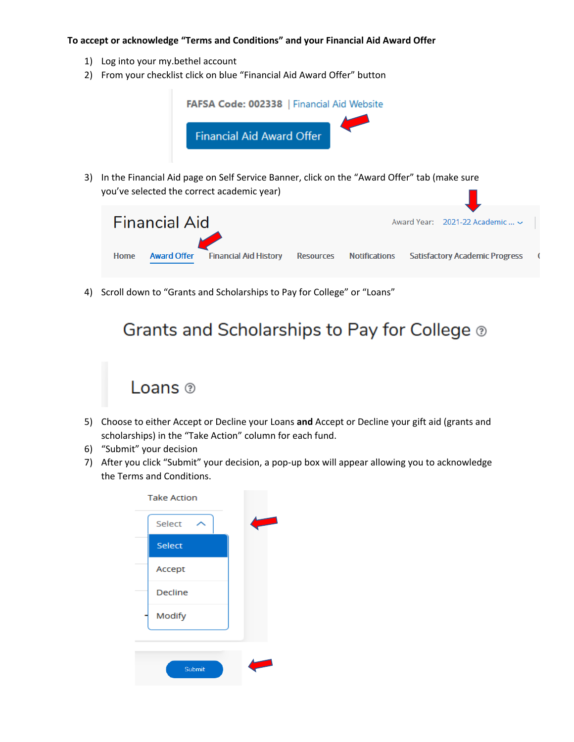## **To accept or acknowledge "Terms and Conditions" and your Financial Aid Award Offer**

- 1) Log into your my.bethel account
- 2) From your checklist click on blue "Financial Aid Award Offer" button



4) Scroll down to "Grants and Scholarships to Pay for College" or "Loans"

**Financial Aid History** 

## Grants and Scholarships to Pay for College ®

**Resources** 

**Notifications** 

**Satisfactory Academic Progress** 

 $\epsilon$ 



**Award Offer** 

- 5) Choose to either Accept or Decline your Loans **and** Accept or Decline your gift aid (grants and scholarships) in the "Take Action" column for each fund.
- 6) "Submit" your decision

Home

7) After you click "Submit" your decision, a pop-up box will appear allowing you to acknowledge the Terms and Conditions.